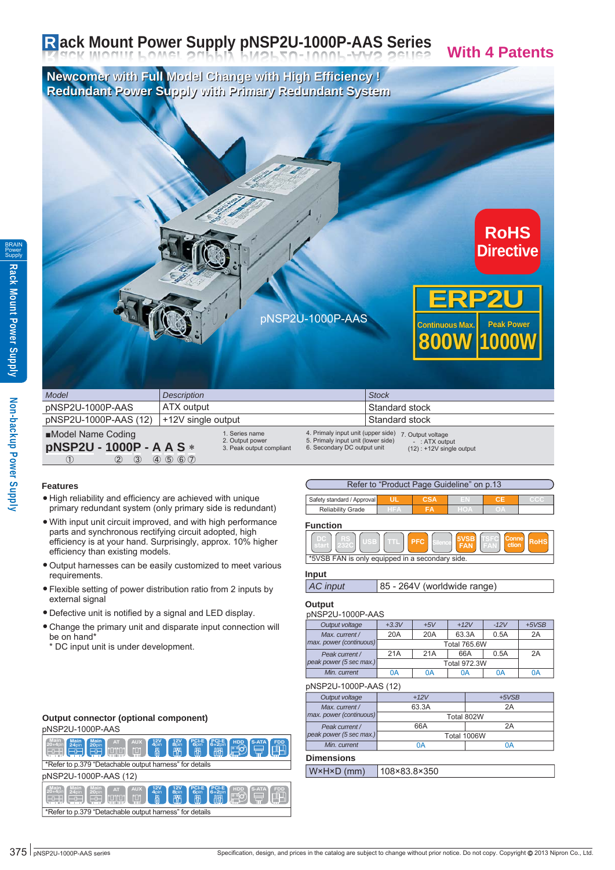# **Rack Mount Power Supply pNSP2U-1000P-AAS Series With 4 Patents**

**Newcomer with Full Model Change with High Efficiency ! Newcomer with Full Model Change with High Efficiency ! Redundant Power Supply with Primary Redundant System**



| <b>Model</b>                                                                              | <b>Description</b>                                                                 | <b>Stock</b>                                                                                                                                                                    |
|-------------------------------------------------------------------------------------------|------------------------------------------------------------------------------------|---------------------------------------------------------------------------------------------------------------------------------------------------------------------------------|
| pNSP2U-1000P-AAS                                                                          | ATX output                                                                         | Standard stock                                                                                                                                                                  |
| pNSP2U-1000P-AAS (12)                                                                     | +12V single output                                                                 | Standard stock                                                                                                                                                                  |
| ■Model Name Coding<br><b>pNSP2U - 1000P - A A S *</b><br>$\circled{3}$<br>$\rm(2)$<br>(1) | 1. Series name<br>2. Output power<br>3. Peak output compliant<br>$(4)$ (5) (6) (7) | 4. Primaly input unit (upper side)<br>7. Output voltage<br>5. Primaly input unit (lower side)<br>$-$ : ATX output<br>6. Secondary DC output unit<br>$(12)$ : +12V single output |

#### **Features**

- High reliability and efficiency are achieved with unique primary redundant system (only primary side is redundant)
- With input unit circuit improved, and with high performance parts and synchronous rectifying circuit adopted, high efficiency is at your hand. Surprisingly, approx. 10% higher efficiency than existing models.
- Output harnesses can be easily customized to meet various requirements.
- Flexible setting of power distribution ratio from 2 inputs by external signal
- Defective unit is notified by a signal and LED display.
- Change the primary unit and disparate input connection will be on hand\*

\* DC input unit is under development.

#### **Output connector (optional component)**

#### pNSP2U-1000P-AAS

| $PCI-E$<br>6+2nin<br><b>Main</b><br><b>PCI-E</b><br>$rac{12V}{400}$<br>$rac{12V}{8}$<br>Main<br><b>AUX</b><br>S-ATA<br><b>FDD</b><br>HDD<br>Main<br>20+40in<br>AT<br>20 <sub>pin</sub><br>24 <sub>nin</sub><br>6 <sub>pin</sub><br>౹ౄ౹౸ౕ<br>ro,<br><b>רם זרם ז</b><br>翈<br>隅<br>俷<br>問<br>$-\mathbf{r}$    |  |  |  |  |  |
|------------------------------------------------------------------------------------------------------------------------------------------------------------------------------------------------------------------------------------------------------------------------------------------------------------|--|--|--|--|--|
| *Refer to p.379 "Detachable output harness" for details                                                                                                                                                                                                                                                    |  |  |  |  |  |
| pNSP2U-1000P-AAS (12)                                                                                                                                                                                                                                                                                      |  |  |  |  |  |
| <b>PCI-E</b><br><b>PCI-E</b><br>12V<br>12V<br>Main<br>Main<br>S-ATA<br><b>AUX</b><br>Main<br>HDD<br><b>FDD</b><br><b>AT</b><br>$20+4$ pin<br>4 <sub>pin</sub><br><b>8</b> pin<br>24pin<br>$6+2$ pin<br>20 <sub>pin</sub><br>6 <sub>pin</sub><br>ஈªி<br>ran<br>ranan<br>吧<br>隅<br>問<br>冊<br>$\Box$<br>$-0-$ |  |  |  |  |  |
| *Refer to p.379 "Detachable output hamess" for details                                                                                                                                                                                                                                                     |  |  |  |  |  |

| - - - - - - - |
|---------------|
| pNSP2U-1000P  |
| ∎Model Name C |
| pNSP2U-1      |
|               |
|               |

Refer to "Product Page Guideline" on p.13 **Safety standard / Approval UL CSA** 

| Reliability<br>Grade | <b>Contract</b> | n and | ,,, |  |
|----------------------|-----------------|-------|-----|--|
|                      |                 |       |     |  |

**Function**

| *5VSB FAN is only equipped in a secondary side. |  |  |  |  |  |  |
|-------------------------------------------------|--|--|--|--|--|--|

#### **Input**

| AC input | 85 - 264V (worldwide range) |
|----------|-----------------------------|
|----------|-----------------------------|

#### **Output**

| pNSP2U-1000P-AAS            |         |                     |        |        |         |  |  |
|-----------------------------|---------|---------------------|--------|--------|---------|--|--|
| Output voltage              | $+3.3V$ | $+5V$               | $+12V$ | $-12V$ | $+5VSB$ |  |  |
| Max. current /              | 20A     | 20A                 | 63.3A  | 0.5A   | 2A      |  |  |
| max. power (continuous)     |         | <b>Total 765.6W</b> |        |        |         |  |  |
| Peak current /              | 21A     | 21A                 | 66A    | 0.5A   | 2A      |  |  |
| peak power (5 sec max.)     |         |                     |        |        |         |  |  |
| Min. current                | 0A      | 0A                  | 0Α     | 0A     | 0A      |  |  |
| $\sim$ NODOU 4000D AAO (40) |         |                     |        |        |         |  |  |

pNSP2U-1000P-AAS (12)

| Output voltage          | $+12V$      | $+5VSB$ |  |  |  |
|-------------------------|-------------|---------|--|--|--|
| Max. current /          | 63.3A       | 2A      |  |  |  |
| max. power (continuous) | Total 802W  |         |  |  |  |
| Peak current /          | 66A         | 2A      |  |  |  |
| peak power (5 sec max.) | Total 1006W |         |  |  |  |
| Min. current            | 0Α          | ΩA      |  |  |  |
|                         |             |         |  |  |  |

#### **Dimensions**

|  | $'$ mm $)$ | 0.250 |
|--|------------|-------|
|--|------------|-------|

**Non-backup Power Supply**

Non-backup Power Supply

BRAIN Power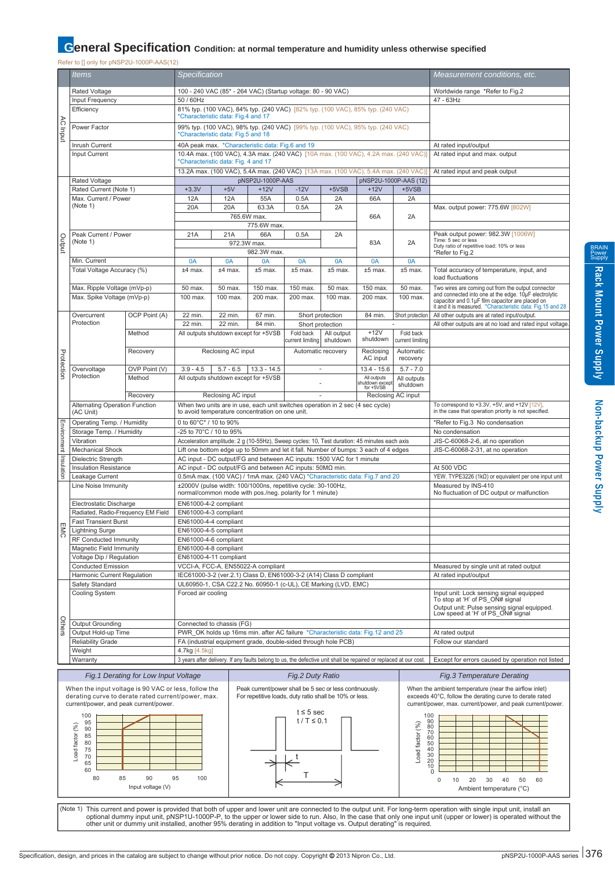# **General Specification** Condition: at normal temperature and humidity unless otherwise specified

Refer to [] only for pNSP2U-1000P-AAS(12)

|                             | ltems                                                                                                       |                                                                                                                          | Specification                                                                                                            |                                                                                                                                   |                                                                                                                                         |                               |                          |                                                                   | Measurement conditions, etc.                                                                          |                                                                                                                                                                            |
|-----------------------------|-------------------------------------------------------------------------------------------------------------|--------------------------------------------------------------------------------------------------------------------------|--------------------------------------------------------------------------------------------------------------------------|-----------------------------------------------------------------------------------------------------------------------------------|-----------------------------------------------------------------------------------------------------------------------------------------|-------------------------------|--------------------------|-------------------------------------------------------------------|-------------------------------------------------------------------------------------------------------|----------------------------------------------------------------------------------------------------------------------------------------------------------------------------|
|                             | Rated Voltage                                                                                               |                                                                                                                          | 100 - 240 VAC (85* - 264 VAC) (Startup voltage: 80 - 90 VAC)                                                             |                                                                                                                                   |                                                                                                                                         |                               |                          |                                                                   | Worldwide range *Refer to Fig.2                                                                       |                                                                                                                                                                            |
|                             | Input Frequency<br>50 / 60Hz                                                                                |                                                                                                                          |                                                                                                                          |                                                                                                                                   |                                                                                                                                         |                               | 47 - 63Hz                |                                                                   |                                                                                                       |                                                                                                                                                                            |
|                             | Efficiency                                                                                                  |                                                                                                                          |                                                                                                                          | 81% typ. (100 VAC), 84% typ. (240 VAC) [82% typ. (100 VAC), 85% typ. (240 VAC)<br>*Characteristic data: Fig.4 and 17              |                                                                                                                                         |                               |                          |                                                                   |                                                                                                       |                                                                                                                                                                            |
| λC                          |                                                                                                             |                                                                                                                          |                                                                                                                          |                                                                                                                                   |                                                                                                                                         |                               |                          |                                                                   |                                                                                                       |                                                                                                                                                                            |
| Indul                       | Power Factor                                                                                                |                                                                                                                          |                                                                                                                          | *Characteristic data: Fig.5 and 18                                                                                                | 99% typ. (100 VAC), 98% typ. (240 VAC) [99% typ. (100 VAC), 95% typ. (240 VAC)                                                          |                               |                          |                                                                   |                                                                                                       |                                                                                                                                                                            |
|                             | Inrush Current                                                                                              |                                                                                                                          |                                                                                                                          |                                                                                                                                   | 40A peak max. * Characteristic data: Fig.6 and 19                                                                                       |                               |                          |                                                                   |                                                                                                       | At rated input/output                                                                                                                                                      |
|                             | Input Current                                                                                               |                                                                                                                          |                                                                                                                          |                                                                                                                                   | 10.4A max. (100 VAC), 4.3A max. (240 VAC) [10A max. (100 VAC), 4.2A max. (240 VAC)]                                                     |                               |                          |                                                                   |                                                                                                       | At rated input and max. output                                                                                                                                             |
|                             |                                                                                                             |                                                                                                                          |                                                                                                                          | *Characteristic data: Fig. 4 and 17                                                                                               | 13.2A max. (100 VAC), 5.4A max. (240 VAC) [13A max. (100 VAC), 5.4A max. (240 VAC)                                                      |                               |                          |                                                                   |                                                                                                       |                                                                                                                                                                            |
|                             | Rated Voltage                                                                                               |                                                                                                                          |                                                                                                                          |                                                                                                                                   | pNSP2U-1000P-AAS                                                                                                                        |                               |                          | pNSP2U-1000P-AAS (12)                                             |                                                                                                       | At rated input and peak output                                                                                                                                             |
|                             | Rated Current (Note 1)                                                                                      |                                                                                                                          | $+3.3V$                                                                                                                  | $+5V$                                                                                                                             | $+12V$                                                                                                                                  | $-12V$                        | $+5VSB$                  | $+12V$                                                            | $+5VSB$                                                                                               |                                                                                                                                                                            |
|                             | Max. Current / Power                                                                                        |                                                                                                                          | 12A                                                                                                                      | 12A                                                                                                                               | 55A                                                                                                                                     | 0.5A                          | 2A                       | 66A                                                               | 2A                                                                                                    |                                                                                                                                                                            |
|                             | (Note 1)                                                                                                    |                                                                                                                          | 20A                                                                                                                      | 20A                                                                                                                               | 63.3A                                                                                                                                   | 0.5A                          | 2A                       |                                                                   |                                                                                                       | Max. output power: 775.6W [802W]                                                                                                                                           |
|                             |                                                                                                             |                                                                                                                          |                                                                                                                          |                                                                                                                                   | 765.6W max.<br>775.6W max.                                                                                                              |                               |                          | 66A                                                               | 2A                                                                                                    |                                                                                                                                                                            |
|                             | Peak Current / Power                                                                                        |                                                                                                                          | 21A                                                                                                                      | 21A                                                                                                                               | 66A                                                                                                                                     | 0.5A                          | 2A                       |                                                                   |                                                                                                       | Peak output power: 982.3W [1006W]                                                                                                                                          |
| Output                      | (Note 1)                                                                                                    |                                                                                                                          |                                                                                                                          |                                                                                                                                   | 972.3W max.                                                                                                                             |                               |                          | 83A                                                               | 2A                                                                                                    | Time: 5 sec or less<br>Duty ratio of repetitive load: 10% or less                                                                                                          |
|                             | Min. Current                                                                                                |                                                                                                                          | 0A                                                                                                                       | 0A                                                                                                                                | 982.3W max.<br>0A                                                                                                                       | 0A                            | 0A                       | 0A                                                                | 0A                                                                                                    | *Refer to Fig.2                                                                                                                                                            |
|                             | Total Voltage Accuracy (%)                                                                                  |                                                                                                                          | $±4$ max.                                                                                                                | $±4$ max.                                                                                                                         | $±5$ max.                                                                                                                               | $±5$ max.                     | $±5$ max.                | $±5$ max.                                                         | $±5$ max.                                                                                             | Total accuracy of temperature, input, and                                                                                                                                  |
|                             |                                                                                                             |                                                                                                                          |                                                                                                                          |                                                                                                                                   |                                                                                                                                         |                               |                          |                                                                   |                                                                                                       | load fluctuations                                                                                                                                                          |
|                             | Max. Ripple Voltage (mVp-p)                                                                                 |                                                                                                                          | 50 max.                                                                                                                  | 50 max.                                                                                                                           | 150 max.                                                                                                                                | 150 max.                      | 50 max.                  | 150 max.                                                          | 50 max.                                                                                               | Two wires are coming out from the output connector<br>and connected into one at the edge. $10\mu$ F electrolytic<br>capacitor and $0.1\mu$ F film capacitor are placed on  |
|                             | Max. Spike Voltage (mVp-p)                                                                                  |                                                                                                                          | 100 max.                                                                                                                 | 100 max.                                                                                                                          | 200 max.                                                                                                                                | 200 max.                      | 100 max.                 | 200 max.                                                          | 100 max.                                                                                              | it and it is measured. * Characteristic data: Fig. 15 and 28                                                                                                               |
|                             | Overcurrent                                                                                                 | OCP Point (A)                                                                                                            | 22 min.                                                                                                                  | 22 min.                                                                                                                           | 67 min.                                                                                                                                 |                               | Short protection         | 84 min.                                                           | Short protection                                                                                      | All other outputs are at rated input/output.                                                                                                                               |
|                             | Protection                                                                                                  |                                                                                                                          | 22 min.                                                                                                                  | 22 min.                                                                                                                           | 84 min.                                                                                                                                 |                               | Short protection         |                                                                   |                                                                                                       | All other outputs are at no load and rated input voltage                                                                                                                   |
|                             |                                                                                                             | Method                                                                                                                   |                                                                                                                          |                                                                                                                                   | All outputs shutdown except for +5VSB                                                                                                   | Fold back<br>current limiting | All output<br>shutdown   | $+12V$<br>shutdown                                                | Fold back<br>current limiting                                                                         |                                                                                                                                                                            |
|                             |                                                                                                             | Recovery                                                                                                                 |                                                                                                                          | Reclosing AC input                                                                                                                |                                                                                                                                         |                               | Automatic recovery       | Reclosing                                                         | Automatic                                                                                             |                                                                                                                                                                            |
| Protection                  |                                                                                                             |                                                                                                                          |                                                                                                                          |                                                                                                                                   |                                                                                                                                         |                               |                          | AC input                                                          | recovery                                                                                              |                                                                                                                                                                            |
|                             | Overvoltage<br>Protection                                                                                   | OVP Point (V)                                                                                                            | $3.9 - 4.5$                                                                                                              | $5.7 - 6.5$                                                                                                                       | $13.3 - 14.5$                                                                                                                           |                               | $\overline{\phantom{a}}$ | $13.4 - 15.6$                                                     | $5.7 - 7.0$                                                                                           |                                                                                                                                                                            |
|                             |                                                                                                             | Method                                                                                                                   |                                                                                                                          |                                                                                                                                   | All outputs shutdown except for +5VSB                                                                                                   |                               |                          | All outputs<br>shutdown except                                    | All outputs<br>shutdown                                                                               |                                                                                                                                                                            |
|                             |                                                                                                             | Recovery                                                                                                                 | for +5VSB<br>Reclosing AC input<br>Reclosing AC input                                                                    |                                                                                                                                   |                                                                                                                                         |                               |                          |                                                                   |                                                                                                       |                                                                                                                                                                            |
|                             | Alternating Operation Function                                                                              |                                                                                                                          |                                                                                                                          | When two units are in use, each unit switches operation in 2 sec (4 sec cycle)<br>to avoid temperature concentration on one unit. |                                                                                                                                         |                               |                          |                                                                   | To correspond to +3.3V, +5V, and +12V [12V],<br>in the case that operation priority is not specified. |                                                                                                                                                                            |
|                             | (AC Unit)                                                                                                   |                                                                                                                          |                                                                                                                          |                                                                                                                                   |                                                                                                                                         |                               |                          |                                                                   |                                                                                                       | *Refer to Fig.3 No condensation                                                                                                                                            |
| Environment                 | Operating Temp. / Humidity<br>0 to 60°C* / 10 to 90%<br>Storage Temp. / Humidity<br>-25 to 70°C / 10 to 95% |                                                                                                                          |                                                                                                                          |                                                                                                                                   |                                                                                                                                         | No condensation               |                          |                                                                   |                                                                                                       |                                                                                                                                                                            |
|                             | Vibration                                                                                                   |                                                                                                                          |                                                                                                                          | Acceleration amplitude: 2 g (10-55Hz), Sweep cycles: 10, Test duration: 45 minutes each axis                                      |                                                                                                                                         |                               |                          |                                                                   | JIS-C-60068-2-6, at no operation                                                                      |                                                                                                                                                                            |
|                             | <b>Mechanical Shock</b>                                                                                     |                                                                                                                          |                                                                                                                          |                                                                                                                                   | Lift one bottom edge up to 50mm and let it fall. Number of bumps: 3 each of 4 edges                                                     |                               |                          |                                                                   |                                                                                                       | JIS-C-60068-2-31, at no operation                                                                                                                                          |
| Insulation                  | Dielectric Strength<br><b>Insulation Resistance</b>                                                         |                                                                                                                          |                                                                                                                          |                                                                                                                                   | AC input - DC output/FG and between AC inputs: 1500 VAC for 1 minute<br>AC input - DC output/FG and between AC inputs: $50M\Omega$ min. |                               |                          |                                                                   |                                                                                                       | At 500 VDC                                                                                                                                                                 |
|                             | Leakage Current                                                                                             |                                                                                                                          |                                                                                                                          |                                                                                                                                   | 0.5mA max. (100 VAC) / 1mA max. (240 VAC) *Characteristic data: Fig.7 and 20                                                            |                               |                          |                                                                   |                                                                                                       | YEW. TYPE3226 (1kΩ) or equivalent per one input unit                                                                                                                       |
|                             | Line Noise Immunity                                                                                         |                                                                                                                          | ±2000V (pulse width: 100/1000ns, repetitive cycle: 30-100Hz,<br>normal/common mode with pos./neg. polarity for 1 minute) |                                                                                                                                   |                                                                                                                                         |                               |                          | Measured by INS-410<br>No fluctuation of DC output or malfunction |                                                                                                       |                                                                                                                                                                            |
|                             | Electrostatic Discharge                                                                                     |                                                                                                                          | EN61000-4-2 compliant                                                                                                    |                                                                                                                                   |                                                                                                                                         |                               |                          |                                                                   |                                                                                                       |                                                                                                                                                                            |
|                             | Radiated, Radio-Frequency EM Field                                                                          |                                                                                                                          | EN61000-4-3 compliant                                                                                                    |                                                                                                                                   |                                                                                                                                         |                               |                          |                                                                   |                                                                                                       |                                                                                                                                                                            |
| m                           | <b>Fast Transient Burst</b>                                                                                 |                                                                                                                          | EN61000-4-4 compliant                                                                                                    |                                                                                                                                   |                                                                                                                                         |                               |                          |                                                                   |                                                                                                       |                                                                                                                                                                            |
| ≂<br>ਨ                      | <b>Lightning Surge</b><br>RF Conducted Immunity                                                             |                                                                                                                          | EN61000-4-5 compliant<br>EN61000-4-6 compliant                                                                           |                                                                                                                                   |                                                                                                                                         |                               |                          |                                                                   |                                                                                                       |                                                                                                                                                                            |
|                             | Magnetic Field Immunity                                                                                     |                                                                                                                          |                                                                                                                          | EN61000-4-8 compliant                                                                                                             |                                                                                                                                         |                               |                          |                                                                   |                                                                                                       |                                                                                                                                                                            |
|                             | Voltage Dip / Regulation                                                                                    |                                                                                                                          |                                                                                                                          | EN61000-4-11 compliant                                                                                                            |                                                                                                                                         |                               |                          |                                                                   |                                                                                                       |                                                                                                                                                                            |
|                             | <b>Conducted Emission</b>                                                                                   |                                                                                                                          |                                                                                                                          |                                                                                                                                   | VCCI-A, FCC-A, EN55022-A compliant                                                                                                      |                               |                          |                                                                   |                                                                                                       | Measured by single unit at rated output<br>At rated input/output                                                                                                           |
|                             | Harmonic Current Regulation<br>Safety Standard                                                              |                                                                                                                          |                                                                                                                          |                                                                                                                                   | IEC61000-3-2 (ver.2.1) Class D, EN61000-3-2 (A14) Class D compliant<br>UL60950-1, CSA C22.2 No. 60950-1 (c-UL), CE Marking (LVD, EMC)   |                               |                          |                                                                   |                                                                                                       |                                                                                                                                                                            |
|                             | Cooling System                                                                                              |                                                                                                                          | Forced air cooling                                                                                                       |                                                                                                                                   |                                                                                                                                         |                               |                          |                                                                   |                                                                                                       | Input unit: Lock sensing signal equipped                                                                                                                                   |
|                             |                                                                                                             |                                                                                                                          |                                                                                                                          |                                                                                                                                   |                                                                                                                                         |                               |                          |                                                                   |                                                                                                       | To stop at 'H' of PS ON# signal<br>Output unit: Pulse sensing signal equipped.                                                                                             |
|                             |                                                                                                             |                                                                                                                          |                                                                                                                          |                                                                                                                                   |                                                                                                                                         |                               |                          |                                                                   |                                                                                                       | Low speed at 'H' of PS ON# signal                                                                                                                                          |
| <b>Others</b>               | Output Grounding<br>Output Hold-up Time                                                                     |                                                                                                                          |                                                                                                                          | Connected to chassis (FG)                                                                                                         | PWR OK holds up 16ms min. after AC failure *Characteristic data: Fig. 12 and 25                                                         |                               |                          |                                                                   |                                                                                                       | At rated output                                                                                                                                                            |
|                             | <b>Reliability Grade</b>                                                                                    |                                                                                                                          |                                                                                                                          |                                                                                                                                   | FA (industrial equipment grade, double-sided through hole PCB)                                                                          |                               |                          |                                                                   |                                                                                                       | Follow our standard                                                                                                                                                        |
|                             | Weight                                                                                                      |                                                                                                                          | 4.7kg [4.5kg]                                                                                                            |                                                                                                                                   |                                                                                                                                         |                               |                          |                                                                   |                                                                                                       |                                                                                                                                                                            |
|                             | Warranty                                                                                                    |                                                                                                                          |                                                                                                                          |                                                                                                                                   | 3 years after delivery. If any faults belong to us, the defective unit shall be repaired or replaced at our cost.                       |                               |                          |                                                                   |                                                                                                       | Except for errors caused by operation not listed                                                                                                                           |
|                             |                                                                                                             | Fig. 1 Derating for Low Input Voltage                                                                                    |                                                                                                                          |                                                                                                                                   |                                                                                                                                         | Fig.2 Duty Ratio              |                          |                                                                   |                                                                                                       | <b>Fig.3 Temperature Derating</b>                                                                                                                                          |
|                             | When the input voltage is 90 VAC or less, follow the                                                        |                                                                                                                          |                                                                                                                          |                                                                                                                                   | Peak current/power shall be 5 sec or less continuously.                                                                                 |                               |                          |                                                                   |                                                                                                       | When the ambient temperature (near the airflow inlet)                                                                                                                      |
|                             | derating curve to derate rated current/power, max.<br>current/power, and peak current/power.                |                                                                                                                          |                                                                                                                          |                                                                                                                                   | For repetitive loads, duty ratio shall be 10% or less.                                                                                  |                               |                          |                                                                   |                                                                                                       | exceeds 40°C, follow the derating curve to derate rated<br>current/power, max. current/power, and peak current/power.                                                      |
|                             | 100                                                                                                         |                                                                                                                          |                                                                                                                          |                                                                                                                                   |                                                                                                                                         | $t \leq 5$ sec                |                          |                                                                   |                                                                                                       |                                                                                                                                                                            |
|                             | 95                                                                                                          |                                                                                                                          |                                                                                                                          |                                                                                                                                   |                                                                                                                                         | $t/T \leq 0.1$                |                          |                                                                   | 100                                                                                                   |                                                                                                                                                                            |
|                             | Load factor (%)<br>90<br>85                                                                                 |                                                                                                                          |                                                                                                                          |                                                                                                                                   |                                                                                                                                         |                               |                          |                                                                   |                                                                                                       | 90<br>80<br>70<br>60<br>50<br>50<br>40                                                                                                                                     |
|                             | 80<br>75                                                                                                    |                                                                                                                          |                                                                                                                          |                                                                                                                                   |                                                                                                                                         |                               |                          |                                                                   |                                                                                                       |                                                                                                                                                                            |
|                             | 70                                                                                                          |                                                                                                                          |                                                                                                                          |                                                                                                                                   |                                                                                                                                         |                               |                          |                                                                   | Load factor (%)                                                                                       | $\begin{array}{c} 30 \\ 20 \end{array}$                                                                                                                                    |
|                             | 65<br>60                                                                                                    |                                                                                                                          |                                                                                                                          |                                                                                                                                   |                                                                                                                                         |                               |                          |                                                                   |                                                                                                       | $\overline{10}$<br>0                                                                                                                                                       |
| 85<br>90<br>95<br>100<br>80 |                                                                                                             |                                                                                                                          |                                                                                                                          |                                                                                                                                   |                                                                                                                                         |                               |                          | 20<br>30<br>40<br>60<br>0<br>10<br>50                             |                                                                                                       |                                                                                                                                                                            |
|                             |                                                                                                             | Input voltage (V)                                                                                                        |                                                                                                                          |                                                                                                                                   |                                                                                                                                         |                               |                          |                                                                   |                                                                                                       | Ambient temperature (°C)                                                                                                                                                   |
|                             |                                                                                                             |                                                                                                                          |                                                                                                                          |                                                                                                                                   |                                                                                                                                         |                               |                          |                                                                   |                                                                                                       | (Note 1) This current and power is provided that both of upper and lower unit are connected to the output unit. For long-term operation with single input unit, install an |
|                             |                                                                                                             | other unit or dummy unit installed, another 95% derating in addition to "Input voltage vs. Output derating" is required. |                                                                                                                          |                                                                                                                                   |                                                                                                                                         |                               |                          |                                                                   |                                                                                                       | optional dummy input unit, pNSP1U-1000P-P, to the upper or lower side to run. Also, In the case that only one input unit (upper or lower) is operated without the          |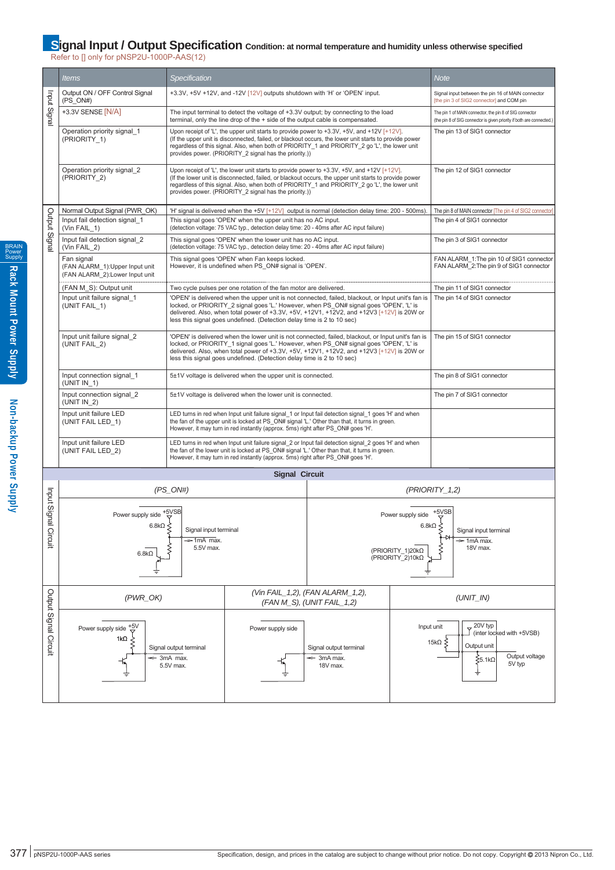## **Signal Input / Output Specification** condition: at normal temperature and humidity unless otherwise specified

Refer to [] only for pNSP2U-1000P-AAS(12)

|                       | <i>Items</i>                                                                    | <i>Specification</i>                                         |                                                                                                                                                                                                                                                                                                                                                                               |                                                                                                                                                                                                       |                                    | <b>Note</b>                                                                                                                  |  |
|-----------------------|---------------------------------------------------------------------------------|--------------------------------------------------------------|-------------------------------------------------------------------------------------------------------------------------------------------------------------------------------------------------------------------------------------------------------------------------------------------------------------------------------------------------------------------------------|-------------------------------------------------------------------------------------------------------------------------------------------------------------------------------------------------------|------------------------------------|------------------------------------------------------------------------------------------------------------------------------|--|
|                       | Output ON / OFF Control Signal<br>$(PS_ON#)$                                    |                                                              | +3.3V, +5V +12V, and -12V [12V] outputs shutdown with 'H' or 'OPEN' input.                                                                                                                                                                                                                                                                                                    |                                                                                                                                                                                                       |                                    | Signal input between the pin 16 of MAIN connector<br>[the pin 3 of SIG2 connector] and COM pin                               |  |
| Input Signal          | +3.3V SENSE [N/A]                                                               |                                                              | The input terminal to detect the voltage of +3.3V output; by connecting to the load<br>terminal, only the line drop of the + side of the output cable is compensated.                                                                                                                                                                                                         | The pin 1 of MAIN connector, the pin 8 of SIG connector<br>(the pin 8 of SIG connector is given priority if both are connected.)                                                                      |                                    |                                                                                                                              |  |
|                       | Operation priority signal 1<br>(PRIORITY 1)                                     |                                                              | Upon receipt of 'L', the upper unit starts to provide power to +3.3V, +5V, and +12V [+12V].<br>(If the upper unit is disconnected, failed, or blackout occurs, the lower unit starts to provide power<br>regardless of this signal. Also, when both of PRIORITY_1 and PRIORITY_2 go 'L', the lower unit<br>provides power. (PRIORITY 2 signal has the priority.))             | The pin 13 of SIG1 connector                                                                                                                                                                          |                                    |                                                                                                                              |  |
|                       | Operation priority signal 2<br>(PRIORITY 2)                                     |                                                              | Upon receipt of 'L', the lower unit starts to provide power to $+3.3V$ , $+5V$ , and $+12V$ [ $+12V$ ].<br>(If the lower unit is disconnected, failed, or blackout occurs, the upper unit starts to provide power<br>regardless of this signal. Also, when both of PRIORITY_1 and PRIORITY_2 go 'L', the lower unit<br>provides power. (PRIORITY 2 signal has the priority.)) | The pin 12 of SIG1 connector                                                                                                                                                                          |                                    |                                                                                                                              |  |
|                       | Normal Output Signal (PWR OK)                                                   |                                                              |                                                                                                                                                                                                                                                                                                                                                                               | 'H' signal is delivered when the +5V $[+12 \vee]$ output is normal (detection delay time: 200 - 500ms).                                                                                               |                                    | The pin 8 of MAIN connector The pin 4 of SIG2 connector)                                                                     |  |
| Output Signa          | Input fail detection signal 1<br>$(Vin FAIL_1)$                                 |                                                              | This signal goes 'OPEN' when the upper unit has no AC input.<br>(detection voltage: 75 VAC typ., detection delay time: 20 - 40ms after AC input failure)                                                                                                                                                                                                                      |                                                                                                                                                                                                       |                                    | The pin 4 of SIG1 connector                                                                                                  |  |
|                       | Input fail detection signal 2<br>(Vin FAIL_2)                                   |                                                              | This signal goes 'OPEN' when the lower unit has no AC input.<br>(detection voltage: 75 VAC typ., detection delay time: 20 - 40ms after AC input failure)                                                                                                                                                                                                                      |                                                                                                                                                                                                       |                                    | The pin 3 of SIG1 connector                                                                                                  |  |
|                       | Fan signal<br>(FAN ALARM_1): Upper Input unit<br>(FAN ALARM_2):Lower Input unit |                                                              | This signal goes 'OPEN' when Fan keeps locked.<br>However, it is undefined when PS ON# signal is 'OPEN'.                                                                                                                                                                                                                                                                      |                                                                                                                                                                                                       |                                    | FAN ALARM 1: The pin 10 of SIG1 connector<br>FAN ALARM 2: The pin 9 of SIG1 connector                                        |  |
|                       | (FAN M_S): Output unit                                                          |                                                              | Two cycle pulses per one rotation of the fan motor are delivered.                                                                                                                                                                                                                                                                                                             |                                                                                                                                                                                                       |                                    | The pin 11 of SIG1 connector                                                                                                 |  |
|                       | Input unit failure signal 1<br>(UNIT FAIL_1)                                    |                                                              | 'OPEN' is delivered when the upper unit is not connected, failed, blackout, or Input unit's fan is<br>locked, or PRIORITY 2 signal goes 'L.' However, when PS ON# signal goes 'OPEN', 'L' is<br>delivered. Also, when total power of +3.3V, +5V, +12V1, +12V2, and +12V3 [+12V] is 20W or<br>less this signal goes undefined. (Detection delay time is 2 to 10 sec)           | The pin 14 of SIG1 connector                                                                                                                                                                          |                                    |                                                                                                                              |  |
|                       | Input unit failure signal_2<br>(UNIT FAIL 2)                                    |                                                              | 'OPEN' is delivered when the lower unit is not connected, failed, blackout, or Input unit's fan is<br>locked, or PRIORITY 1 signal goes 'L.' However, when PS ON# signal goes 'OPEN', 'L' is<br>delivered. Also, when total power of +3.3V, +5V, +12V1, +12V2, and +12V3 [+12V] is 20W or<br>less this signal goes undefined. (Detection delay time is 2 to 10 sec)           | The pin 15 of SIG1 connector                                                                                                                                                                          |                                    |                                                                                                                              |  |
|                       | Input connection signal 1<br>$(UNIT IN_1)$                                      |                                                              | 5±1V voltage is delivered when the upper unit is connected.                                                                                                                                                                                                                                                                                                                   |                                                                                                                                                                                                       |                                    | The pin 8 of SIG1 connector                                                                                                  |  |
|                       | Input connection signal 2<br>(UNIT IN 2)                                        |                                                              | 5±1V voltage is delivered when the lower unit is connected.                                                                                                                                                                                                                                                                                                                   |                                                                                                                                                                                                       |                                    | The pin 7 of SIG1 connector                                                                                                  |  |
|                       | Input unit failure LED<br>(UNIT FAIL LED 1)                                     |                                                              | However, it may turn in red instantly (approx. 5ms) right after PS ON# goes 'H'.                                                                                                                                                                                                                                                                                              | LED turns in red when Input unit failure signal 1 or Input fail detection signal 1 goes 'H' and when<br>the fan of the upper unit is locked at PS ON# signal 'L.' Other than that, it turns in green. |                                    |                                                                                                                              |  |
|                       | Input unit failure LED<br>(UNIT FAIL LED 2)                                     |                                                              | However, it may turn in red instantly (approx. 5ms) right after PS ON# goes 'H'.                                                                                                                                                                                                                                                                                              | LED turns in red when Input unit failure signal 2 or Input fail detection signal 2 goes 'H' and when<br>the fan of the lower unit is locked at PS_ON# signal 'L.' Other than that, it turns in green. |                                    |                                                                                                                              |  |
|                       |                                                                                 |                                                              | <b>Signal Circuit</b>                                                                                                                                                                                                                                                                                                                                                         |                                                                                                                                                                                                       |                                    |                                                                                                                              |  |
|                       |                                                                                 | (PS ON#)                                                     |                                                                                                                                                                                                                                                                                                                                                                               | $(PRIORITY_1,2)$                                                                                                                                                                                      |                                    |                                                                                                                              |  |
| Input Signa           | Power supply side +5VSB<br>6.8k $\Omega \leq$                                   | Signal input terminal                                        | Power supply side $+5\text{/SB}$                                                                                                                                                                                                                                                                                                                                              |                                                                                                                                                                                                       |                                    | 6.8k $\Omega \leq$<br>Signal input terminal                                                                                  |  |
| Circuit               | $6.8k\Omega$                                                                    | $\Rightarrow$ 1mA max.<br>5.5V max.                          | (PRIORITY_1)20kΩ<br>(PRIORITY 2)10kΩ                                                                                                                                                                                                                                                                                                                                          |                                                                                                                                                                                                       | $\Rightarrow$ 1mA max.<br>18V max. |                                                                                                                              |  |
|                       | $(PWR$ <sub>_OK</sub> $)$                                                       |                                                              |                                                                                                                                                                                                                                                                                                                                                                               | (Vin FAIL 1,2), (FAN ALARM 1,2),<br>(FAN M S), (UNIT FAIL 1,2)                                                                                                                                        |                                    | $(UNIT$ IN)                                                                                                                  |  |
|                       |                                                                                 |                                                              |                                                                                                                                                                                                                                                                                                                                                                               |                                                                                                                                                                                                       |                                    |                                                                                                                              |  |
| Output Signal Circuit | +5V<br>Power supply side<br>$1k\Omega$                                          | Signal output terminal<br>$\Leftarrow$ 3mA max.<br>5.5V max. | Power supply side                                                                                                                                                                                                                                                                                                                                                             | Signal output terminal<br>$\leq$ 3mA max.<br>18V max.                                                                                                                                                 |                                    | 20V typ<br>Input unit<br>(inter locked with +5VSB)<br>15k $\Omega \leq$<br>Output unit<br>Output voltage<br>ξ5.1kΩ<br>5V typ |  |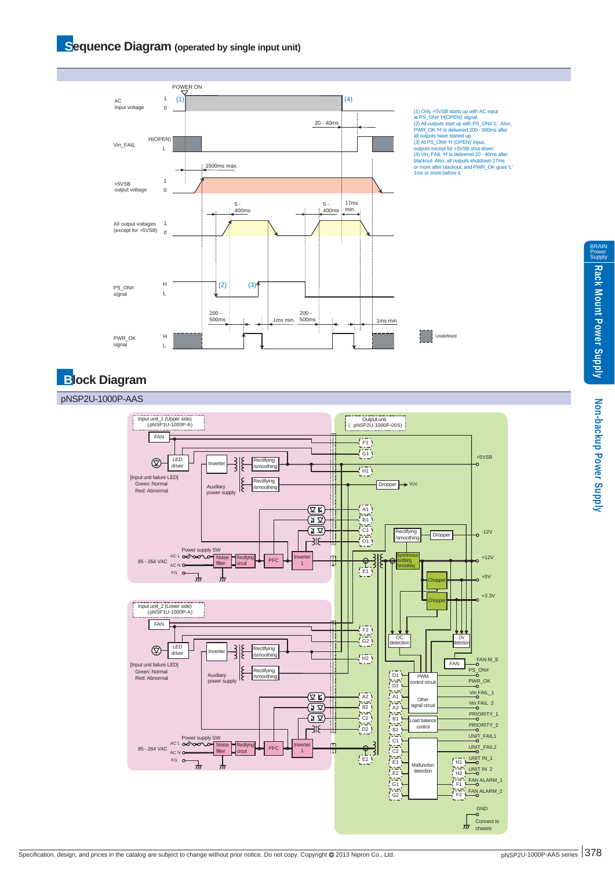#### **Sequence Diagram** (operated by single input unit)



# **Block Diagram**

#### pNSP2U-1000P-AAS



BRAIN Power Supply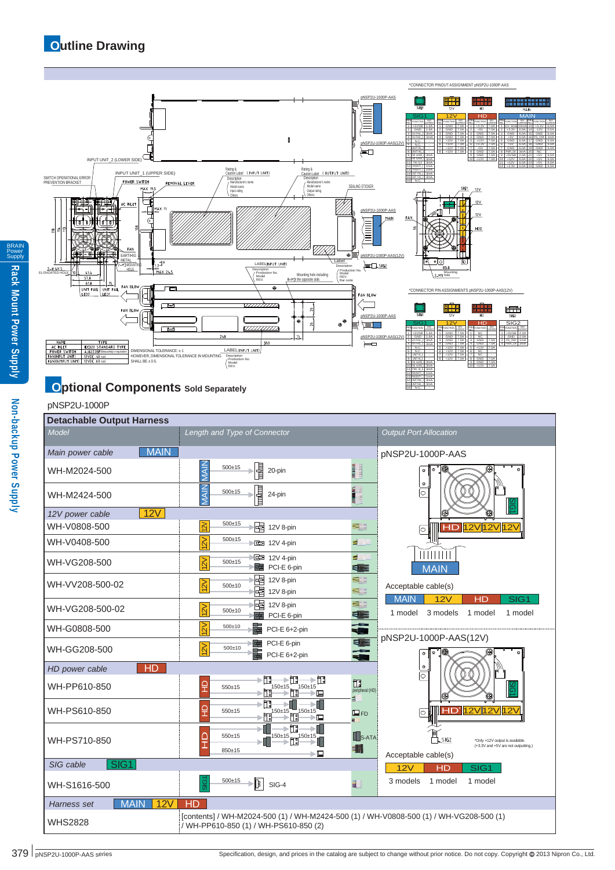

# **Optional Components** Sold Separately

# Non-backup Power Supply **Non-backup Power Supply**

BRAIN Power Supply

**Rack Mount Power Supply**

| pNSP2U-1000P                     |                                                                                                                                 |                                                                                           |  |  |  |  |  |  |
|----------------------------------|---------------------------------------------------------------------------------------------------------------------------------|-------------------------------------------------------------------------------------------|--|--|--|--|--|--|
| <b>Detachable Output Harness</b> |                                                                                                                                 |                                                                                           |  |  |  |  |  |  |
| Model                            | Length and Type of Connector                                                                                                    | <b>Output Port Allocation</b>                                                             |  |  |  |  |  |  |
| <b>MAIN</b><br>Main power cable  |                                                                                                                                 | pNSP2U-1000P-AAS                                                                          |  |  |  |  |  |  |
| WH-M2024-500                     | MAIN<br>퉡<br>mann<br><b>REPAIR</b><br>$500 + 15$<br>20-pin                                                                      | $\bullet$<br>۰<br>۰                                                                       |  |  |  |  |  |  |
| WH-M2424-500                     | MAIN<br>n digma<br>Tanggalang<br>$M$ in the line $M$<br>$500 + 15$<br>릑<br>24-pin<br>Ë                                          | ⊺⊙<br>ត                                                                                   |  |  |  |  |  |  |
| 12V<br>12V power cable           |                                                                                                                                 |                                                                                           |  |  |  |  |  |  |
| WH-V0808-500                     | $500 + 15$<br> 2V <br>惲<br>53<br>12V 8-pin                                                                                      | <b>HD 12V 12V 12V</b><br>0                                                                |  |  |  |  |  |  |
| WH-V0408-500                     | 12V<br>$500 + 15$<br>图 12V 4-pin<br>E.                                                                                          |                                                                                           |  |  |  |  |  |  |
| WH-VG208-500                     | E.<br>■ 12V 4-pin<br>$\approx$<br>$500 + 15$<br>霍<br>PCI-E 6-pin<br>∈                                                           | <b>MAIN</b>                                                                               |  |  |  |  |  |  |
| WH-VV208-500-02                  | 唱<br>12V 8-pin<br>51<br>$\overline{2V}$<br>$500 + 10$<br>啫<br>53<br>12V 8-pin                                                   | Acceptable cable(s)                                                                       |  |  |  |  |  |  |
| WH-VG208-500-02                  | 唱<br>53<br>12V 8-pin<br>12V<br>$500 + 10$<br>E E<br>PCI-E 6-pin<br>卓                                                            | <b>MAIN</b><br>12V<br>HD<br>SIG <sub>1</sub><br>1 model<br>3 models<br>1 model<br>1 model |  |  |  |  |  |  |
| WH-G0808-500                     | ÷<br>$\approx$<br>$500 + 10$<br>PCI-E 6+2-pin                                                                                   |                                                                                           |  |  |  |  |  |  |
| WH-GG208-500                     | E<br>PCI-E 6-pin<br>嘻<br>12V<br>$500 \pm 10$<br>PCI-E 6+2-pin                                                                   | pNSP2U-1000P-AAS(12V)<br>œ<br>$\bullet$<br>$\bullet$                                      |  |  |  |  |  |  |
| HD<br>HD power cable             |                                                                                                                                 | $\bullet$                                                                                 |  |  |  |  |  |  |
| WH-PP610-850                     | f۳<br>≻∏ः<br>$\rightarrow \Box$<br>腘<br>ç<br>550±15<br>$\frac{150 \pm 15}{1}$<br>,150±15,<br>peripheral (HD)<br>>⊡<br>≦         | 0<br>බ                                                                                    |  |  |  |  |  |  |
| WH-PS610-850                     | ħ<br>⊊<br>150±15<br>550±15<br>$150 \pm 15$<br>⊟FD<br>>⊑                                                                         | <b>HD</b> <sup>12V</sup> <sub>12V</sub> <sub>12V</sub><br>0                               |  |  |  |  |  |  |
| WH-PS710-850                     | ۴۵<br>C<br>$550+15$<br>$150+15$<br>$\frac{150 \pm 15}{1}$<br>$\mathbf{L}$ S-ATA<br>٦<br>850±15                                  | $\Box$ SIG2<br>*Only +12V output is available.<br>(+3.3V and +5V are not outputting.)     |  |  |  |  |  |  |
| SIG <sub>1</sub><br>SIG cable    | ≻⊑                                                                                                                              | Acceptable cable(s)<br>12V<br>HD<br>SIG1                                                  |  |  |  |  |  |  |
| WH-S1616-500                     | $500+15$<br>₿<br>E,<br>SIG-4                                                                                                    | 3 models<br>1 model<br>1 model                                                            |  |  |  |  |  |  |
| <b>MAIN</b><br>Harness set       | 12V<br>HD                                                                                                                       |                                                                                           |  |  |  |  |  |  |
| <b>WHS2828</b>                   | [contents] / WH-M2024-500 (1) / WH-M2424-500 (1) / WH-V0808-500 (1) / WH-VG208-500 (1)<br>/ WH-PP610-850 (1) / WH-PS610-850 (2) |                                                                                           |  |  |  |  |  |  |

15 16

3mA - UNIT FAIL\_2 N.C.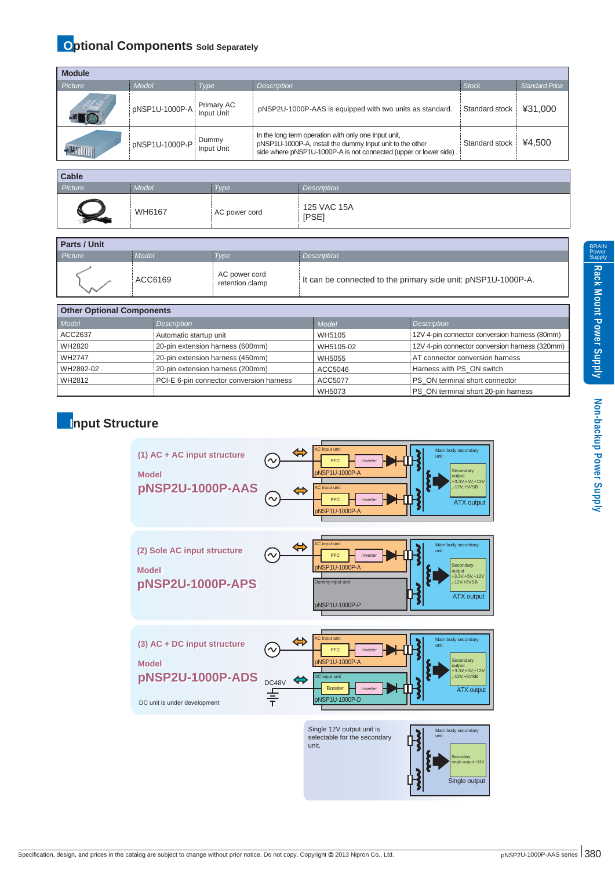# **Optional Components** Sold Separately

| <b>Module</b>   |                |                          |                                                                                                                                                                                        |                |                |
|-----------------|----------------|--------------------------|----------------------------------------------------------------------------------------------------------------------------------------------------------------------------------------|----------------|----------------|
| Picture         | Model          | Type                     | <b>Description</b>                                                                                                                                                                     | <b>Stock</b>   | Standard Price |
| ME              | pNSP1U-1000P-A | Primary AC<br>Input Unit | pNSP2U-1000P-AAS is equipped with two units as standard.                                                                                                                               | Standard stock | ¥31.000        |
| <b>HAMILITI</b> | pNSP1U-1000P-P | Dummy<br>Input Unit      | In the long term operation with only one Input unit,<br>pNSP1U-1000P-A, install the dummy Input unit to the other<br>side where pNSP1U-1000P-A is not connected (upper or lower side). | Standard stock | ¥4.500         |

| <b>Cable</b> |        |               |                      |
|--------------|--------|---------------|----------------------|
| Picture      | Model  | Type          | Description          |
|              | WH6167 | AC power cord | 125 VAC 15A<br>[PSE] |

| <b>Parts / Unit</b> |         |                                  |                                                               |  |  |  |
|---------------------|---------|----------------------------------|---------------------------------------------------------------|--|--|--|
| Picture             | Model   | Type                             | <b>Description</b>                                            |  |  |  |
|                     | ACC6169 | AC power cord<br>retention clamp | It can be connected to the primary side unit: pNSP1U-1000P-A. |  |  |  |

| <b>Other Optional Components</b> |                                          |           |                                                |  |  |  |
|----------------------------------|------------------------------------------|-----------|------------------------------------------------|--|--|--|
| Model                            | Description                              | Model     | <b>Description</b>                             |  |  |  |
| ACC2637                          | Automatic startup unit                   | WH5105    | 12V 4-pin connector conversion harness (80mm)  |  |  |  |
| WH2820                           | 20-pin extension harness (600mm)         | WH5105-02 | 12V 4-pin connector conversion harness (320mm) |  |  |  |
| <b>WH2747</b>                    | 20-pin extension harness (450mm)         | WH5055    | AT connector conversion harness                |  |  |  |
| WH2892-02                        | 20-pin extension harness (200mm)         | ACC5046   | Harness with PS ON switch                      |  |  |  |
| WH2812                           | PCI-E 6-pin connector conversion harness | ACC5077   | PS ON terminal short connector                 |  |  |  |
|                                  |                                          | WH5073    | PS ON terminal short 20-pin harness            |  |  |  |

## **Input Structure**



**Non-backup Power Supply**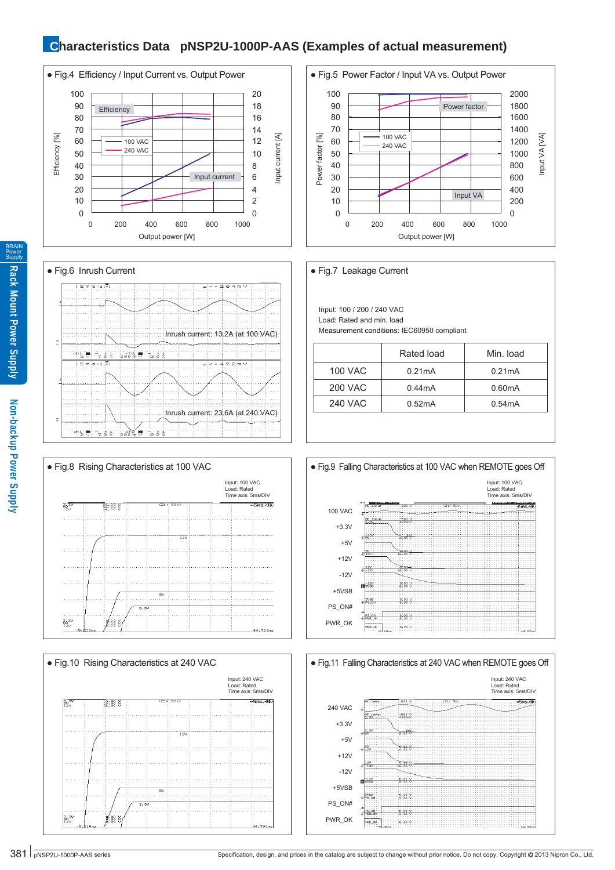## **Characteristics Data pNSP2U-1000P-AAS (Examples of actual measurement)**











Input: 100 / 200 / 240 VAC Load: Rated and min. load Measurement conditions: IEC60950 compliant

|                | Rated load | Min. load |
|----------------|------------|-----------|
| <b>100 VAC</b> | 0.21mA     | 0.21mA    |
| <b>200 VAC</b> | 0.44mA     | 0.60mA    |
| <b>240 VAC</b> | 0.52mA     | 0.54mA    |







BRAIN Power **Supply**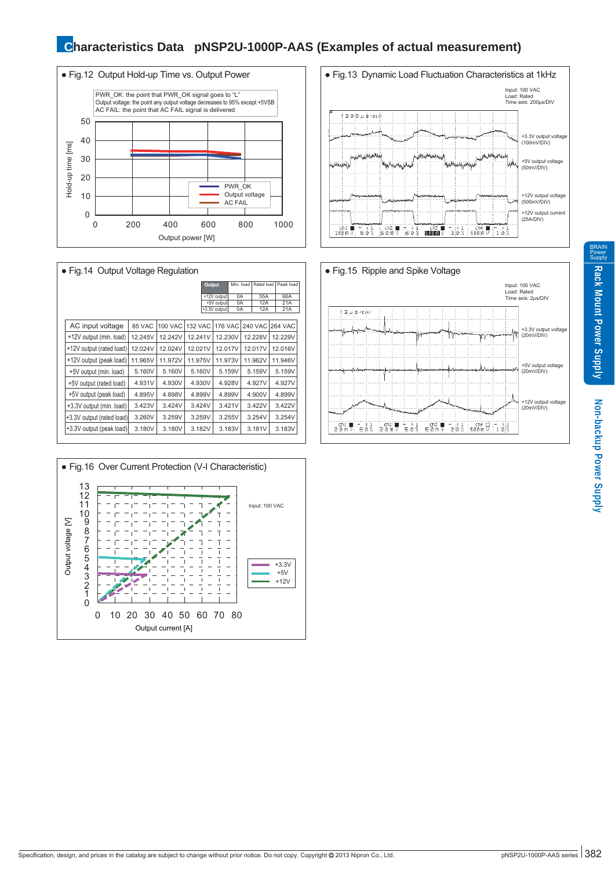## **Characteristics Data pNSP2U-1000P-AAS (Examples of actual measurement)**



| • Fig. 14 Output Voltage Regulation |         |                |                |               |                |           |  |                |  |                |
|-------------------------------------|---------|----------------|----------------|---------------|----------------|-----------|--|----------------|--|----------------|
|                                     |         |                |                | <b>Output</b> |                | Min. load |  | Rated load     |  | Peak load      |
|                                     |         |                |                |               | +12V output    | 0A        |  | 55A            |  | 66A            |
|                                     |         |                |                |               | +5V output     | 0A        |  | 12A            |  | 21A            |
|                                     |         |                |                |               | +3.3V output   | 0A        |  | 12A            |  | 21A            |
| AC input voltage                    | 85 VAC  | <b>100 VAC</b> | <b>132 VAC</b> |               | <b>176 VAC</b> |           |  | <b>240 VAC</b> |  | <b>264 VAC</b> |
| +12V output (min. load)             | 12.245V | 12.242V        | 12.241V        |               | 12.230V        |           |  | 12.228V        |  | 12.229V        |
| +12V output (rated load)            | 12.024V | 12.024V        | 12.021V        |               | 12.017V        |           |  | 12.017V        |  | 12.016V        |
| +12V output (peak load)             | 11.965V | 11.972V        | 11.975V        |               | 11.973V        |           |  | 11.962V        |  | 11.946V        |
| +5V output (min. load)              | 5.160V  | 5.160V         | 5.160V         |               |                | 5.159V    |  | 5.159V         |  | 5.159V         |
| +5V output (rated load)             | 4.931V  | 4.930V         | 4.930V         |               |                | 4.928V    |  | 4.927V         |  | 4.927V         |
| +5V output (peak load)              | 4.895V  | 4.898V         | 4.899V         |               |                | 4.899V    |  | 4.900V         |  | 4.899V         |
| +3.3V output (min. load)            | 3.423V  | 3.424V         | 3.424V         |               |                | 3.421V    |  | 3.422V         |  | 3.422V         |
| +3.3V output (rated load)           | 3.260V  | 3.259V         | 3.259V         |               |                | 3.255V    |  | 3.254V         |  | 3.254V         |
| +3.3V output (peak load)            | 3.180V  | 3.180V         | 3.182V         |               |                | 3.183V    |  | 3.181V         |  | 3.183V         |







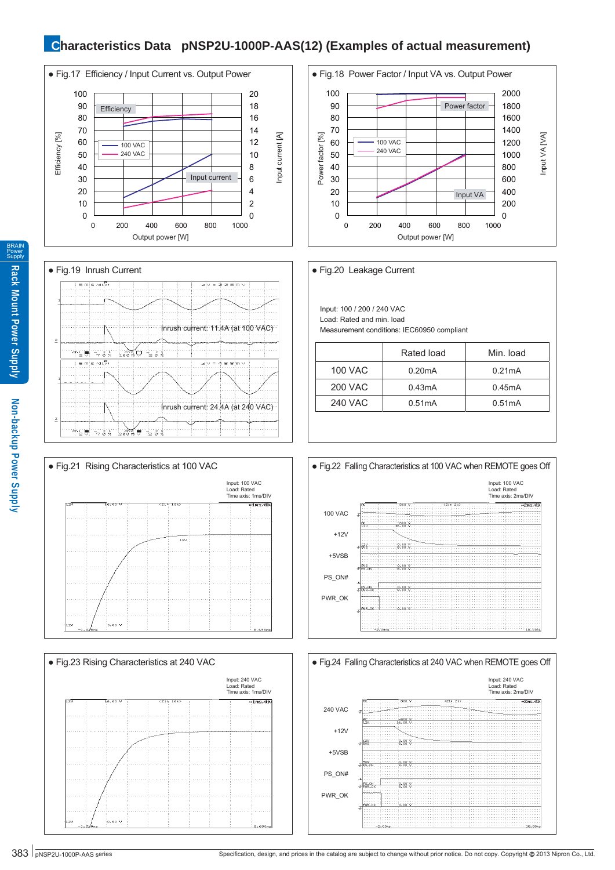# **Characteristics Data pNSP2U-1000P-AAS(12) (Examples of actual measurement)**











Input: 100 / 200 / 240 VAC Load: Rated and min. load Measurement conditions: IEC60950 compliant

|                | Rated load | Min. load |
|----------------|------------|-----------|
| <b>100 VAC</b> | 0.20mA     | 0.21mA    |
| <b>200 VAC</b> | 0.43mA     | 0.45mA    |
| <b>240 VAC</b> | 0.51mA     | 0.51mA    |
|                |            |           |





BRAIN Power **Supply**